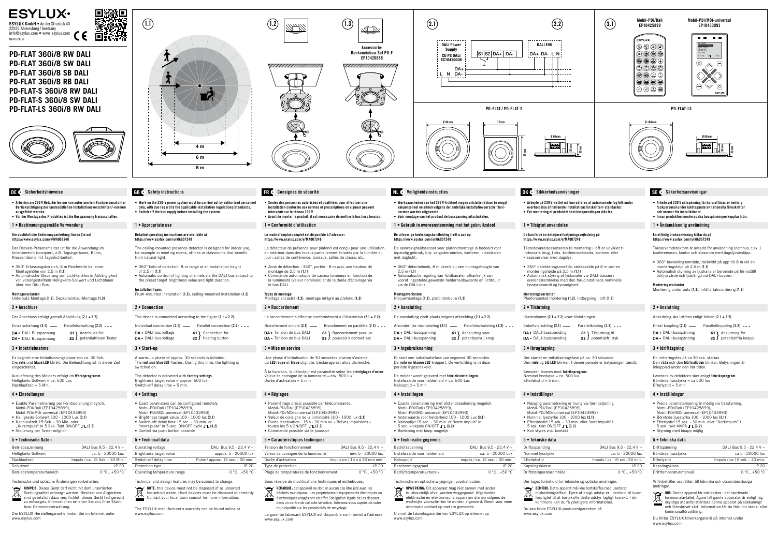

Der Decken-Präsenzmelder ist für die Anwendung im Innenbereich konzipiert, z.B. Tagungsräume, Büros, Klassenräume mit Tageslichtantei

• Arbeiten am 230 V Netz dürfen nur von autorisiertem Fachpersonal unter Berücksichtigung der landesüblichen Installationsvorschriften/-normen ausgeführt werden. • Vor der Montage des Produktes ist die Busspannung freizuschalten.

### 1 • Bestimmungsgemäße Verwendung

Der Anschluss erfolgt gemäß Abbildung (2.1 + 2.2). Einzelschaltung  $(2.1)$  - Parallelschaltung  $(2.2)$  ---

DA+ DALI Busspannung S1 anschluss für<br>DA- DALI Busspannung S2 J potentialfreie  $s_2$  J potentialfreien Taster

Die ausführliche Bedienungsanleitung finden Sie auf https://www.esylux.com/y/MA007248

Auslieferung des Melders erfolgt im Werksprogramm. Helligkeits-Sollwert = ca. 500 Lux  $Nachlautzait - 5 Min$ 

- 360° Erfassungsbereich, 8 m Reichweite bei einer Montagehöhe von 2,5 m (1.1)
- Automatische Steuerung von Lichtkanälen in Abhängigkeit von voreingestelltem Helligkeits-Sollwert und Lichtdauer über den DALI Bus.

### Montagevarianten

Unterputz-Montage (1.2), Deckeneinbau-Montage (1.3)

## 2 • Anschluss

## 3 • Inbetriebnahme

Es beginnt eine Initialisierungsphase von ca. 30 Sek. Die rote und blaue LED blinkt. Die Beleuchtung ist in dieser Zeit eingeschaltet.

### 4 • Einstellungen

- Exakte Parametrierung per Fernbedienung möglich. Mobil-PDi/Dali (EP10425899), Mobil-PDi/MDi-universal (EP10433993)
- Helligkeits-Sollwert 100 1000 Lux (3.1)
- Nachlaufzeit 15 Sek. 30 Min. oder
- $M$  Kurzimpuls" in 5 Sek. Takt ON/OFF  $\Gamma$  (3.2) • Steuerung per Taster möglich

The detector is delivered with factory settings. Brightness target value = approx.  $500$  lux Switch-off delay time  $= 5$  min.

## 5 • Technische Daten

| Betriebsspannung          | DALI Bus 9,5 - 22,4 V =        |
|---------------------------|--------------------------------|
| Helligkeits-Sollwert      | ca. 5 - 20000 Lux              |
| Nachlaufzeit              | Impuls / ca. 15 Sek. - 30 Min. |
| Schutzart                 | IP 20                          |
| Betriebstemperaturbereich | $0 °C+50 °C$                   |

Technische und optische Änderungen vorbehalten.

HINWEIS: Dieses Gerät darf nicht mit dem unsortierten Siedlungsabfall entsorgt werden. Besitzer von Altgeräten sind gesetzlich dazu verpflichtet, dieses Gerät fachgerecht zu entsorgen. Informationen erhalten Sie von Ihrer Stadtbzw. Gemeindeverwaltung.

Die ESYLUX Herstellergarantie finden Sie im Internet unter www.esylux.com

• Work on the 230-V power system must be carried out by authorised personnel only, with due regard to the applicable installation regulations/standards. • Switch off the bus supply before installing the system.

### 1 • Appropriate use

Detailed operating instructions are available at https://www.esylux.com/y/MA007248

> Le raccordement s'effectue conformément à l'illustration (2.1 + 2.2). Branchement simple  $(2.1)$  ---<br>Branchement en parallèle  $(2.2)$  ---**DA** + Tension de bus DALI S1 Raccordement pour un<br> **DA** - Tension de bus DALI S2 J poussoir à contact sec

 $\mathsf{S2}$  poussoir à contact sec

The ceiling-mounted presence detector is designed for indoor use, for example in meeting rooms, offices or classrooms that benefit from natural light.

- 360° field of detection, 8-m range at an installation height of 2.5 m (1.1) • Automatic control of lighting channels via the DALI bus subject to
- the preset target brightness value and light duration.
- Installation types Flush-mounted installation (1.2), ceiling-mounted installation (1.3)

toutes les 5 s  $ON/OFF$ .  $\Box$  (3.2) • Commande possible via le poussoir 5 • Caractéristiques techniques

### 2 • Connection

## The device is connected according to the figure  $(2.1 + 2.2)$ .

Individual connection  $(2.1)$  -- Parallel connection  $(2.2)$  --- $DA + DALI$  bus voltage  $DA - DALI$  bus voltage  $S2$  floating button  $s_2$  floating button

> Tension de fonctionnement  $D A I I B u s 9.5 - 22.4 V =$ Valeur de consigne de la luminosité env. 5 - 20000 lux Durée d'activation Impulsion / 15 s à 30 min env. Type de protection IP 20 Plage de températures de fonctionnement 0 °C…+50 °C

3 • Start-up

A warm-up phase of approx. 30 seconds is initiated. The red and blue LED flashes. During this time, the lighting is switched on.

## 4 • Settings

- Exact parameters can be configured remotely. Mobil-PDi/Dali (EP10425899), Mobil-PDi/MDi-universal (EP10433993)
- Brightness target value 100 1000 lux (3.1)
- Switch-off delay time 15 sec. 30 min. or<br>"short pulse" in 5-sec. ON/OFF cycle **TL (3.2)**
- Control via push button possible 5 • Technical data

| Operating voltage           | DALI Bus $9.5 - 22.4 V =$         |
|-----------------------------|-----------------------------------|
| Brightness target value     | approx. 5 - 20000 lux             |
| Switch-off delay time       | Pulse / approx. 15 sec. - 30 min. |
| Protection type             | IP 20                             |
| Operating temperature range | $0^{\circ}$ C+50 $^{\circ}$ C     |
|                             |                                   |

Technical and design features may be subject to change.

NOTE: this device must not be disposed of as unsorted household waste. Used devices must be disposed of correctly. Contact your local town council for more information.

The ESYLUX manufacturer's warranty can be found online at www.esylux.com

• Seules des personnes autorisées et qualifiées pour effectuer une installation conforme aux normes et prescriptions en vigueur peuvent

intervenir sur le réseau 230 V.

• Avant de monter le produit, il est nécessaire de mettre le bus hors tension.

1 • Conformité d'utilisation

Le mode d'emploi complet est disponible à l'adresse : https://www.esylux.com/y/MA007248

- 
- 
- 
- Planforsænket montering (1.2), indbygning i loft (1.3)
	-
	-
- DA+ DALI-busspænding S1 Tilslutning til<br>DA- DALI-busspænding S2 J potentialfri tr  $s<sub>2</sub>$  potentialfri tryk
	-
	-
	-
- DALI Bus 9.5 22.4 V  $=$ external lines and the ca. 5 - 20000 lux  $Implus / ca. 15$  sek.-30 min. Kapslingsklasse IP 20 aturområde 0 °C…+50 °C
- Der tages forbehold for tekniske og optiske ændringer.
	- BEMÆRK: Dette apparat må ikke bortskaffes med usorteret husholdningsaffald. Ejere af brugt udstyr er i henhold til loven forpligtet til at bortskaffe dette udstyr fagligt korrekt. I din nune kan du få yderligere informatione
		-

Illustrationen (2.1 + 2.2) viser tilslutningen. Enkeltvis kobling  $(2.1)$  -- Parallelkobling  $(2.2)$  ---

Le détecteur de présence pour plafond est conçu pour une utilisation en intérieur dans des locaux partiellement éclairés par la lumière du jour : salles de conférence, bureaux, salles de classe, etc. • Zone de détection : 360°, portée : 8 m avec une hauteur de

montage de 2,5 m (1.1)

• Commande automatique de canaux lumineux en fonction de la luminosité (valeur nominale) et de la durée d'éclairage via

le bus DALI. Types de montage

Montage encastré (1.2), montage intégré au plafond (1.3)

2 • Raccordement

- **OPMERKING:** Dit apparaat mag niet samen met ander  $\overleftrightarrow{\mathbb{R}}$ huishoudelijk afval worden weggegooid. Afgedankte
- elektrische en elektronische apparaten dienen volgens de wettelijke voorschriften te worden afgevoerd. Neem voor meer
- informatie contact op met uw gemeente. U vindt de fabrieksgarantie van ESYLUX op internet op www.esylux.com Du kan finde ESYLUX-producentgarantien på www.esylux.com

# **DE** Sicherheitshinweise **GBC** Safety instructions **FR** Consignes de sécurité **NLC** Veiligheidsinstructies **DKC** Sikkerhedsanvisninger SEC Säkerhetsanvisningar

3 • Mise en service

Une phase d'initialisation de 30 secondes environ s'amorce. La LED rouge et bleue clignote. L'éclairage est alors déclenché. À la livraison, le détecteur est paramétré selon les préréglages d'usine.

Valeur de consigne de la luminosité = env. 500 lux Durée d'activation = 5 min

4 • Réglages

• Paramétrage précis possible par télécommande.

Mobil-PDi/Dali (EP10425899), Mobil-PDi/MDi-universal (EP10433993)

• Valeur de consigne de la luminosité 100 - 1000 lux (3.1) • Durée d'activation : 15 s - 30 min ou « Brèves impulsions » Leverans av detektorn sker enligt fabriksprogram. Börvärde ljusstyrka = ca 500 lux  $E$ fterlystid = 5 min.

Sous réserve de modifications techniques et esthétiques.

**OBS:** Denna apparat får inte kastas i det osorterade<br>
kommunalavfallet. Ägare till gamla apparater är e kommunalavfallet. Ägare till gamla apparater är enligt lag skyldiga att avfallshantera denna apparat på sakkunnigt och föreskrivet sätt. Information får du från din stads- eller kommunalförvaltning.

REMARQUE : cet appareil ne doit en aucun cas être jeté avec les déchets municipaux. Les propriétaires d'équipements électriques ou électroniques usagés ont en effet l'obligation légale de les déposer dans un centre de collecte sélective. Informez-vous auprès de votre municipalité sur les possibilités de recyclage.

La garantie fabricant ESYLUX est disponible sur Internet à l'adresse www.esylux.com

• Werkzaamheden aan het 230 V-lichtnet mogen uitsluitend door bevoegd vakpersoneel en alleen volgens de landelijke installatievoorschriften/-

normen worden uitgevoerd. • Vóór montage van het product de busspanning uitschakelen.

1 • Gebruik in overeenstemming met het gebruiksdoel

### De uitvoerige bedieningshandleiding treft u aan op https://www.esylux.com/y/MA007248

De aanwezigheidssensor voor plafondmontage is bedoeld voor inpandig gebruik, bijv. vergaderruimten, kantoren, klaslokalen met daglicht.

- 360° detectiehoek, 8 m bereik bij een montagehoogte van
- 2,5 m (1.1) • Automatische regeling van lichtkanalen afhankelijk van vooraf ingestelde gewenste helderheidswaarde en lichtduur
- via de DALI-bus.

### Montagevarianten Inbouwmontage (1.2), plafondinbouw (1.3)

## 2 • Aansluiting

De aansluiting vindt plaats volgens afbeelding (2.1 + 2.2).

Afzonderlijke inschakeling  $(2.1)$  -- Parallelschakeling  $(2.2)$  ---**DA** + DALI-busspanning and analyting voor<br> **DA** - DALI-busspanning and analytic sample of potential virigion  $s_2$  ) potentiaalvrij knop

## 3 • Ingebruikneming

Er start een initialisatiefase van ongeveer 30 seconden. De rode en blauwe LED knippert. De verlichting is in deze periode ingeschakeld.

De melder wordt geleverd met fabrieksinstellingen. Instelwaarde voor helderheid = ca. 500 Lux Nalooptijd = 5 min.

## 4 • Instellingen

- Exacte parametrering met afstandsbediening mogelijk. Mobil-PDi/Dali (EP10425899), Mobil-PDi/MDi-universal (EP10433993)
- Instelwaarde voor helderheid 100 1000 Lux (3.1)
- Nalooptijd 15 sec. 30 min. of "korte impuls" in  $5$  sec. klokpuls ON/OFF  $\blacksquare$  (3.2)
- Bediening met knop mogelijk

## 5 • Technische gegevens

| Bedrijfsspanning             | DALI Bus $9.5 - 22.4 V =$      | Driftsspændi  |
|------------------------------|--------------------------------|---------------|
| Instelwaarde voor helderheid | ca. 5 - 20000 Lux              | Nominel lyss  |
| Nalooptijd                   | impuls / ca. 15 sec. - 30 min. | Efterløbstid  |
| Beschermingsgraad            | IP 20                          | Kapslingsklas |
| Bedrijfstemperatuurbereik    | $0 °C+50 °C$                   | Driftstempera |

Technische en optische wijzigingen voorbehouden.

• Arbejde på 230 V-nettet må kun udføres af autoriserede fagfolk under overholdelse af nationale installationsforskrifter/-standarder. • Før montering af produktet skal busspændingen slås fra.

DA+ DA- L N

## 1 • Tilsigtet anvendelse

Du kan finde en detaljeret betjeningsvejledning på https://www.esylux.com/y/MA007248

Tilstedeværelsessensoren til montering i loft er udviklet til indendørs brug, f.eks. konferencelokaler, kontorer eller klasseværelser med dagslys.

- 360° detekteringsområde, rækkevidde på 8 m ved en monteringshøjde på 2,5 m (1.1) • Automatisk styring af lyskanaler via DALI-bussen i
- overensstemmelse med den forudindstillede nominelle lysstyrkeværdi og lysvarighed.

## Monteringsvarianter

# 2 • Tilslutning

## 3 • Ibrugtagning

Der starter en initialiseringsfase på ca. 30 sekunder. Den røde og blå LED blinker. I denne periode er belysningen tændt.

Sensoren leveres med fabriksprogram. Nominel lysstyrke = ca. 500 lux Efterløbstid = 5 min.

## 4 • Indstillinger

- Nøjagtig parametrering er mulig via fjernbetjening. Mobil-PDi/Dali (EP10425899), Mobil-PDi/MDi-universal (EP10433993)
- Nominel lysstyrke 100 1000 lux (3.1)

• Efterløbstid 15 sek. - 30 min. eller "kort impuls" i  $5$  sek. takt ON/OFF  $\Gamma$  (3.2) • Kan styres vha. kontakt

5 • Tekniske data

 $\widehat{\mathbb{R}}$ 

- 
- Arbete vid 230 V nätspänning får bara utföras av behörig facknersonal under jakttagande av nationella föreskrifte och normer för installationer.
- Innan produkten monteras ska busspänningen kopplas från. 1 • Ändamålsenlig användning
- En utförlig bruksanvisning hittar du på

## https://www.esylux.com/y/MA007248

Taknärvarodetektorn är avsedd för användning inomhus, t.ex. i konferensrum, kontor och klassrum med dagsljusinsläpp.

- 360° bevakningsområde, räckvidd på upp till 8 m vid en monteringshöjd på 2,5 m (1.1)
- Automatisk styrning av ljuskanaler beroende på förinställt börljusvärde och ljuslängd via DALI-bussen.

### **Monteringsvarianter**

Montering under puts (1.2), infälld takmontering (1.3)

### 2 • Anslutning

Anslutning ska utföras enligt bilden (2.1 + 2.2).

- DA+ DALI-busspänning S1 } Anslutning för<br>DA- DALI-busspänning S2 } potentialfria ki
- Enkel koppling  $(2.1)$  -- Parallellkoppling  $(2.2)$  --s2 J potentialfria knapp

### 3 • Idrifttagning

En initieringsfas på ca 30 sek. startas. Den röda och den blå lysdioden blinkar. Belysningen är inkopplad under den här tiden.

## 4 • Inställningar

- Precis parameterisering är möjlig via fjässtyrning. Mobil-PDi/Dali (EP10425899), Mobil-PDi/MDi-universal (EP10433993)
- 
- Börvärde ljusstyrka 100 1000 lux (3.1) • Efterlystid 15 sek. - 30 min. eller "Kortimpuls" i
- $5$  sek. takt AV/PÅ  $\Gamma$  (3.2)
- Styrning med knapp möjlig

## 5 • Tekniska data

| Driftspänning            | DALI Bus 9.5 - 22.4 V =       |
|--------------------------|-------------------------------|
| Börvärde ljusstyrka      | ca 5 - 20000 lux              |
| Efterlystid              | Impuls / ca 15 sek. - 30 min. |
| Kapslingsklass           | IP 20                         |
| Drifttemperaturintervall | 0 °C+50 °C                    |

Vi förbehåller oss rätten till tekniska och utseendemässiga ändringar.



Du hittar ESYLUX tillverkargaranti på internet under www.esylux.com



DALI EVG

# **PD-FLAT 360i/8 RW DALI PD-FLAT 360i/8 SW DALI PD-FLAT 360i/8 SB DALI PD-FLAT 360i/8 RB DALI PD-FLAT-S 360i/8 RW DALI PD-FLAT-S 360i/8 SW DALI PD-FLAT-LS 360i/8 RW DALI**





Ø 60mm

24mm

----

 $- - -$ 

 $- - - - - -$